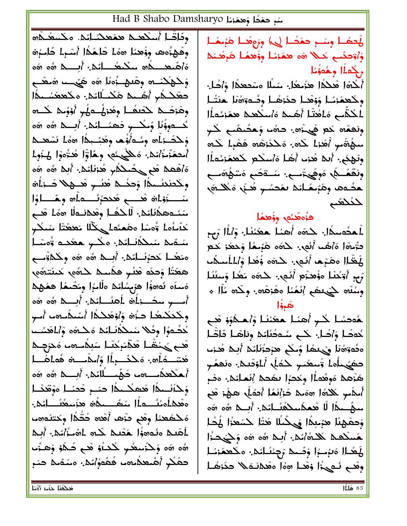Had B Shabo Damsharyo فَمَعْ الله بَعْدَ الله عَمْدًا

وئاقىل أسكعك مغمكنائك مكسعك وفَهْزُهِ وِؤْهَدًا هَمَا خَاهُدًا أَسْبِا خَاسَرَة ەْ\ھُىھىسىگە مىگىھُنسىلىًىل: أېسىيى شە شە وَحْكِكْسَــهِ وِعْلَـــةُومًا هُو هَيُــــا هُــعْــعِ حعْكِــمُــمِ أَصَّــمِ مَكْـــلَائِم. مكْعِعَنْـــمُا نُسْتَوِوْنُا وُحُسْبِ ضَعَنُسَانُكَ. أُلِسَكُ هُوَ هُوَ وَحْكَـٰٓٓٓٓٓہٰا۞ وِشَـٰہُ اُوُّھا وِهَبَّـبِیاُ اِهْمَا نَسْعِـٰہِ أَمعِمْنُمْأَسْلَا. هَلِكَيْكِ وِهَلْوَْا هُتُّوهُا لِمَنْوِدًا هُمْ هُمْ هُمْ كَمِنْ مُعْتَمَلِكَمْ مِنْكُمْ مِنْ مُحْمَدَةً مِنْ مَعْدَمَةً مِنْ مَعْدَمَةً مِنْ وكَدَنَدْسُمَا وَحَشَــد هَنُــو هَــــهكا صَـــزَــاُهَ مَــــزَوْلَمْ هَـــــــــمِ هَٰـدَرُنَـــــملَم وهَـــــلوُا مَنْــــمَــمَـــُلاَمَــد لْلــــمُـــل مِحْمَــــمَـــما الله ما مَــــم لمَكْتُمْتَ الْكَرِيجَامَةَ مِنْجَامًا مِنْجَمَّةً مِنْجَمَّةً مِنْجَمَّةٍ مِنْجَمَّةٍ مِنْجَمَّةٍ م سَــَةَ مَــَــحَـادُّلْـائِمَ. وَحُـــبِ ــِعْقَدَــدِ وُّوسْــا ەنھُــا كَدَرُسُـانُـدْ. أَبــد ۞ ۞ وَحَدَوْســع هعَتُا وَحدَه هَنُـو همُـنــم نَحْمَى حَنتَشَوْهِ دُمدَه نُـ2وَوُ | هرَّمِسُلمَّد دلَّامُ | وِحَصُـمُا هِمَّـهِـــها أُسبِ مدَّـــزاَنَهُ الْحَسُّــامُّــ( أَبِـــدْ هُه هُه وِكْدَكْتُمَا حَزُّهَ وَٱوْهَٰكُمَّا ٱسْتَخَاصُوا ٱسْر ىُحْصَوُا وِثَى مَىكِدُلُكُمْ مَكْتَهِ وَٱلْمَحْسَب هَجَمَة تَمْسَلِمُ لِمُتَمَرِّدَةٌ لَمَتَشَرِّرٍ مِنْهُ عَلَيْهِ مِنْهُمْ هَتسْــهُاْ۞. هَـحْكَــــرِاْ وُ ُمَدْسِـــة هُملصُـــا أهلَاهدُ ـــــــــوما حَــمَّــــــــُلائم. أَبـــــــم وَّه وَه وَحَاَنُــمَا هَـٰهَــُــمَا حَـَــمِ حَمـُــا هوقحقــا ەقىملەئىـــەلما مىھـــىمە ھۆمىغىـــائم. مَكْتَعْمَدُا وِقْعٍ حَزْهَا أَهْدَهُ حُثْكُمْ! وِكْتِنُوهِا لِمُصْلِ هَدَهُوا هَدْمِ كُلْمَ لَمْسَنُوْمُ مِنْ الْمَحْمَدِ وَإِلَيْهِمْ مِنْ الْمَحْمَدِينَ وَإِلَ ھُہ ھُہ وَلِحُبْسِعُبِ لَحْدَاوْ ھُے حُکُوْ وَھِـُّبَ حفَكْرِ أَهَىعدَامحا فَعَّدَوُاْتُمْ. منْتَمَا حَنْر

لمَحْمَلِ وِسَٰٓ حَمَدُ ۖ لِيَا ۚ وِرَٰهِمَٰا هَٰٓ مُحَا وَأَوْحَكَــعٍ كَـــلًا هُه هَمَّوْسًا وِؤُهمًا هُوهُــدًا رِجُداً و هُوزُمُ ا أَكْتُوا قَتْكُمَا هَزَيْجُا. يَبْيُلَا وَيَتّْقِعُوا وَأَصَلَ: وكعمَّنِكَ وَوَقَدًا حَذِّهُكُ وِضَّوَوَهُ الْمُتَبَّلَ لمُحْمَّى مَاهُتْلَ أَهُىمَ هَ/سكْعِمَ هِمَّ;شَمَأَل وِتَعَمُّدَ كَمْ فَيْءُدْ. حَدُّمَا وَحَقَّمَتْ لَكُمْ سَهُقُسِ أَهُدَا ۚ لَاهِ. هَكَذَهُه هَمْ إِلَّا لَكُمْ وِلْهَكَى: أَلَمْ هُزَمَا أَهُلُ هَامَنْكُمْ كَعْمَرْشُهَاْ ا وِتَقَمُّـــمُّ مَوْفَى تَرْسَى. سَـــةَصَٰعِ مَتَــمُّةَبِّ لمضَّمعا وهَبُنمُ لِمُصَلَّمَ لِمُصَلَّبٍ هُنَّى مَكْلَمَى لمنكفس فأوهُنُه وؤُهمًا ـلْـمحْدىـددًا. كــرَدَه أَهـُـل ـمعَـُنُـل. وْٱلْمَالِمُ وَعِبِر صَّحة أهَاهُما أَنَّهِ اللَّهُ مَعْ مَا وَحَقَدَ حَمّ لْمَعْلَا مِصَّبِْهِ ٱلْيَهِ. كَمُهُمْ وُهُمَا وْٱلْمُلْسَمَّاتِ رْجِ أَوْحُلُّا هَؤُهَـٰٓوَمْ أَلَـٰهِ ۖ. كَـٰهُه مُعُـٰا وَمِعْلًا وسُلَّه مَكَّلٍ مِنْ مَا مَعْنِهُمْ وَهُدَّهُ مِنْ الْمَجْمَعَةِ مِنْ مِنْ مَنْ الْمَجْمَعَةِ هُوصُباً كُلِّي أَهْنَا هِعَنْنَا وَٱهْلُوَٰوَ قَبْ نُددُ ﴿ وَٰاحُـل: نَكَــح شَــدَدُلاَئِكَ وِنَاهَــلَ دَٰلِتْـلَ ەئەۋەنا ڧىلما ۇىكى ھۆدزىلىكا أېكا ھذى حَقِّيْ أَمَاءُ وَّسْعَدِ ۖ حَدُبُهُ ٱلْمُؤْتَّلَةُ. وَنَعْفُو هَٰزَهِمْ هُوِهُواْلِ وِحْجُرِا بِعُجِمْ إِنْصَائِمْ. وضَرِ أَمَامِ لَكُلُّهُ| 50مَدْ حَزْاِنُهُا أَتَمَّلُ عَنَّ ثَبَ سۇسىدا لا ھەممىلگەنلەئى. أېسى ھە ھە وَحِمْهِنَا هِيَمِيْدًا هَٰذَا هَتَنَا حَسَيْرَا لَهُجَاءَ فَلَهُمَاءَ وَ هُسْلُهُمْ لَمْلْتَهُامُدْ. أَبِيهِ هُوَ هُوَ وَجْهَجْهَا لَمَعْـال هَبْـــرُا وَصَّـــه رْجِئْـلْنُه. مكْعفرْنْــل وهم نُـعيخُا وَهْـا هِمَا هِهُدَانَـهَـلا حَذَرْهُـا ۖ

هَكْمُلْ حَرَّى ٱلْأَمَّا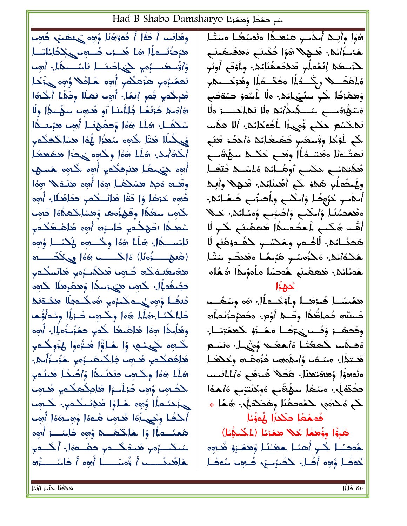Had B Shabo Damsharyo أَسَمَ حَمْحًا وَهِيمَ مَنْ

وَهَالَتَ أَ قَوَّا أَ قَوْوَهُ لَا وَوَهِ يَحْمَى وَمِنَا مِنَا مِنَا مِنَا مِنَا مِنْ هِجَدَانَــم}ا هَـا هُـــز، مَـــهِ، كَمَّا أَمِـدًا مَـــهِ وَٱوَّىعَكَـــــوَمِ حَيَٰىٰلِكَمَنَـــا تَاسَّــــمكَا. ٱوما تعمّنون عزعكم أوه هاضلا ووهي وأنحل هْرِجُهِ ۚ فُو إِنْعًا. أُوب نَعِلًا وَثَمَّا أَحْدُوا هَٰآهَ ۡ ذَٰٓ دَٰٓ مَٰٓ ذَٰٓ الۡ الۡ الۡ الۡ وَ هَٰٓ دَٰٓ وَ ۖ دَٰٓ مِنۡ الۡ الۡ الۡ ا سْكَفُّا. هَٰأَا هَٰهُ| وَحَمُّهِنَـا أَهِـ هرَّـنــدًا فَيَحْبُلَا هَتَا خَلْمٍه سَعْزًا هُهَ! هَسَالَحْقَدُمِ أَحْلَاهُ أَمِنَ مَمَّا وَالْحَمَّ وَالْحَمَّةِ مِنْ الْمَعْلَمَةِ مِنْ الْمَعْلَمَةِ مِنْ الْمَعْلَ أوه حهيمًا هنرهكُم أوه كُروه هَسِها وقده ةدم همكما وة أوه هنكلا وه هُوهِ كَبْطُا وَا فَقَا هَانْسَكُمْ حَمَاهَكَا. أُوهِ لكوب للعُدَّا وِقْهَنُوها وْهَيَالْكَعَدَّةَ أَحْوِبَ سْعِيجًا اتَّحِيجُومٍ خَاسَرَه أَهِهِ هَاهُيعُكُمْ ئانىسىدا. ھَلَّا ھَوْا وِكْسُوه كَكْسَا وُھِو (هَيْهِـــــزُه)) هَ الْكَــــــــه هُمَّا مِيْكُحْــــــه ھەتكىئەتكە ئىوت قىلگىئە كاتىتگەپ حَمَدُه أَإِ. كَامِتْ مِنْهَامِنَا وَمِحَمِّمِنَا كُلِمِهِ تَنفُـا وُهِه يُــمَكْنُومِ هُمكْــممِلَا هكَــقَنَمَ طَالْحُسُلْ:هَٰأَا هَٰهَا وِحْـهِـٰ صَـٰٓهَاْ وِسُـٰهُٰؤُـِ ۖ وِهَلَيْجًا وَوَا هَاهَيْهَا لَكُمْ حَمَّزْتُوْمَالَ أُوهِ كُلُوهِ كَهِيمَهِ وَالصَّاوَّا هُتُّووْا لِمُؤْهَّدِ هُاهَهَكُدمِ هُدهِ ۖ وَالْكُنفَــرُهِ ۖ هُزُــزُٱنْدَ. هَٰلَمَا هَءُا وِكْسِهِ مَنْسَمًا وَٱصۡمَٰا هَٰنَـٰمِ للحُبُّوبَ وُوبَ خَزَلَتَهُمْ هَاجِلُتُمَكِّنُومِ هُنَّوتَ حَمَّدَ عَالَمَ الْجَمَعَةُ الْمَالِمَةِ مِنْ الْمَسْتَحْمَى الْمَسْتَحْمَدِ مِنْ الْمَسْتَحْمَدِينَ أَلْحَفُلُ وِنُحِيْخُوا هُدِهِ وَهُدَهُ الْجَرْمِدِهُمَا أُرْهِبَ هَمنُـــه أَا وَا هَا تَكَمَـــــــــمْ وُوهِ حَاسَـــــز أُوهِ سَكَسِرُەم ھَسْمَكَسەم جَھُسْمَةَ!: أَنْكَسَمِ 

هُوۡا وِأَبِــٰهَ أَيَـٰهُــٰــُ عَنُعَـٰهُا وَثَمَنُعُـا وَيَنْتَـٰا ِهَٰٓءَٮـُرُٱیۡدُ. قَنَـٰهُمْ أَنَّهُمْ أَنَّاهُمْ مُحَمَّمَـٰفُ مَعَلَمَـٰهُمْ مَنْـَمِّضْ مَنْـَمِ ِ خَاسِعَكُمْ إِنْغُمَلُنِ هُكُلُمُعُفُلُكُمْ. وِلُوْضْ أُوِنُنِ هَاهَـْــــلا , بِثَـــهُـاُا هجُـنَــهُـاُا وِهُـٰنَـــــــهُـر وَهمَٰ;حُا ۖ شَيْ اللَّهَاءُ. وَلَا ۖ أَسْوَءَ حَسَّوَضَـٰمِ مُتَجَمَّصَـــــــمُّ مُمَّالِّكُمْ مَالًا تَمْلَكُـــــــز مَالًا تَمْكَسُمِ حَكْمٍ ؤُمِيءُ! أُثْمَخُاءُهُ: ٱلْلَا هَمَٰت ﻼ ﻟُﻮْﺪًا وِﺗُﺴﻌَّﯩﺮِ ﺣَﻌًﯩﻌﺪًﺎﺋَﺪً ﻩَ/َﺪَﺣَـٰٓ; ﻗَﺘَـٰٓ تَعتَّــوَلَا وَهُنَـــوُلُمْ وَهُــــعٍ يَحْكُـــمْ سَـهُرَّةً هَكَتَمْنَــع حَكَـــع ٱوِهُــائَـمْ هَاسْـــمْ فَتَقْــا وِلَمِحْماَمِ هَٰذِ ۖ ذَ أَهۡسَٰائِكِ ۖ فَعَهَلا وِأَبِكَ أَبْدَٰتِ بُدْءِجًا وَٱنْكَبِ وِأَصَدَّبِ جَيْمَائِي. ەقھقئىلا ۋانىڭىم ۋاقىۋىم ۋەئىلئى كىلا أَقَّتَ هُكْتُنَ الْعَشَامِلَا هُيْمَمِّيْنَ ۚ كُثْنِ لَهُ هَحَدُ ائمَ. لَاصُـم وهَكْسُــو كَــقُــووْهُنّع لَٰا هَٰٓدُهُۥُمٗہٗ ہٗ دُوۡمئُـُوٖ مَّہۡمَا وَهُدَكَمِ مَتَّا هَءَنْائِكَ: هُتَعَقَّىنَى هُءَدَسًا مَأْوَوُنَدًا وَهُمَّاءَ تحمنزا

همُسُلِّ قَيْهُلَّا وِلُوْكُــواًا. ۞ وَسُعَّــب صَّسُلُه ضَمَاتُعُمُ إِحْسَامٌ أُوُمٍ. وَحَمْرُحَزُنُوَاهُ وِحۡحَمَٰٓ ۖ وَحَسَنَ ۖ وَحَسَنَهُ ۖ لَا حَمَٰٓ وَلَا تَحۡمَٰٓ وَصَدۡمَ ۖ وَصَدۡمَ ۖ وَصَدۡمَ مِنۡ و ەَهكىپ كەھتئا ەُلمەنى ۋەشل مەنسىر هُـتذَا. منْـمُـ وُٱلثَّاه هُزُهڤـه وِكْلاَهُــا ەئەھۇا ۆھھىتھلا. ھَڪلا ھُىزھُم ەُالملىُسى اَهُمَاهُ. مَنْعُا سَهْتُم وَكِنُتَهُمْ وَلَا مَا أَمْرَاهُمْ الْعَلَمُ لَحْمٍ مَحْقُومٍ حَمْدَهُمُ وَهَتَحْمَلُهُ . هُمُ \* فُوهُمَا حَكْدُا غُوزُعًا هْرِوُا ووُهِمَا حَلا هِمَرْمًا (الْمُحَمُّمًا) هُوصُباً لَكَــرٍ أُهنَــا هِعَنْنَا وَهمَــُزِهِ هُــوِهِ

نُعصًا وُوهِ أَصَا. حَصُبُه بَي صَومِ سُوصًا

هَجْهُمَا جِرَءَ ٱلْإِيَا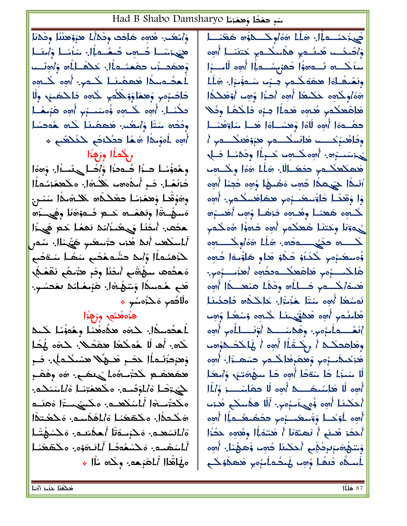## Had B Shabo Damsharyo أَسَمَ حَمْحًا وَهِيمَ مَنْ

وَ/َتَعَْبَ: هُدِهِهِ هَاكُتْ وِثْمُ/ًا هَزَّوْهَلْنَا وِثْمَالَا هجَيْ شَــا صَــْهِـا صَـمُــولَمَا. مَنْأَسُــا وَٱسْــا وْهِهُمِيْنَا حَمَّمْتُـهِ]ْلَ. كَلِاهُـلِلُهِ وَٱهِنَــا أهدَّ عبدًا هُجْمَنَا كُلُّم. أَبْوَهِ كُلُّوهِ كَاكْبُوم وْهِمْاوُوْلِكُمْ لِكُلُوهِ كَالْحُصِّيْ وِلَا دَدُّسًا. أَبَعِهِ كُلْبَعِهِ وُمِنْسَبُرٍ أَبَعِهِ هُزَيْهَا وفُدُه مَنْتَا وَأَسْعَبَ هُدْهُمَنَا كُلُّهِ هُوَصُبَا أُهِهِ لَمَوْتِمًا هُمُا حَثَدَتَ لَحُدْهُم \* وجُديًا ورَجِزًا .

وِهَٰدَوْسًا حَـذَا خُـدَدَٰا وَٱحُـلَىكَـنَا. وَهِءَا دَٰرُهُـا. ضَرِ أَبْدُهِ مَا كَلُّـهُ|. مَكْعَمُزْشُمَاْ| وەوقىا وەھزىلا دىھىھە كىلەما سىلى مَسْهُدَا وِنَعْصُــْتَ مَــْـْ شَــْدَوْشَاهُ وَفَيْــَةُ مَـْ أَمْرِهُ مِدَ الْمُعَهُ مَنْ أَسْمَرِهِ لَنْمَا كَلَمْ فَيَسْمَلُ أَلمسكعت أنظ هُذب حتَّصعُت هَيَّ دَالٍ. شَمْ أَ لِخَافِدُهُ أَنْ الْمَسْمَعُمُ مَنْ الْمُسَارِّدَةِ مِنْ الْمُسَارِّدَةِ مِنْ الْمُسَارَةِ مِنْ الْ هُـعثَـُـه، سَـهُـٰتُم ۖ أَسۡتُلُا وِضَ هَـٰٓتُمۡ مَـٰٓفَعُــكَٰب هُم هُـْمَسْمًا وَسْتَهْـرْهَا. هُرُسْمَـٰائِمْ بَعْجَسُـبٍ. ەللۇھېر كىلادىئېر ھ

## فأوقشه ورُهزًا

لْمَحْدِسِيْاً. كِيْهُ مِدْهُمْهَا وِهُدَٰؤُمَا كَبِيْدِ لَاهِ. أَهِ لَا هُوَلَاهُا هِوَشَى الْأَمُو وَلَكُلْ اللَّهُ وَلَكُلَّا وَهرَدُرُنَـه)| حَصَـٰرٍ هَــهِلًا هِسُـدٌـهـهِٔ). ضَـرِ لْجَيْرَهُــا ةْالْمُفْسَفْ: مَكْعَمَّرْسَا ةْالْمُنَكْفْ: مَكْتُرْسِيْهَا ٱلْمُكْعَبِ. مَكْسُبُسْتْرَا مُعَشَم ھَكُدِمَا. مَكْتَعَعِّدُ مَادَفَهُسو. مَحْعَّدَهِ ا ەُ،لمَنحدو. ەَكرَىــەُتْل أَبعكَسَـدو. ەَكْتَنجُتْـل ،<br>المَصْحَدةِ: مَكْتَبَعُوصُا الْمَانَـلِمَوْهِ: مَكْتَفِعَنُـل هِ الْخَالِ ٱلْمَمْ هو. وِكْتَ نَالَ ﴾

صْخَدْے اُل: هَـاُـا هَهُ ُوحْـــحوْه هَعْنـــا وَٱصۡكَـــد هُدنَـــم وهُمحُـــم لِمَتَنَسَــل ٱروه سأكْـــه نُـــدهوا دْهرَّبِنْـــداًا أُهِه لَّاـــــزا وِتَمُنفُـأَةَا هَهُدَيْـُـدَمِ صِـرَى سَـٰدَوَٰنَـرَا. هَلَٰلًا هَهُاوِكُمِهِ حَكْمَعُا أُمِهِ أَحِزَا وَمِهِ أَوْهَدُهُا هَاهْعَكُمْ هُدِهِ هَٰدَاًا مِـرَّه ظَكْظًا وِثَـلا حصَّــوهَ| أَروه لَاهُ| وَهشـــاهُ| هَـــا سَارَوْهُنَـــا وِفْاهُنْدُ کَسْتَ الْمَاسْتُنْسُومِ حَرَّوْهُلْگَسْنُومِ ﴾ لَيْخَسِّيْرُهُ: أَرْدِهِ كَلّْمِهِ كَلّْمِ أَلْمَ وَشَمَّلْنَا ضَلَّى هُعكَعنُدو حَمَدَالًا. هَٰذَا هُءَا وكُدِهِ ٱللَّـٰهُمُ الْجَيْـٰـٰهِـٰهُمْ الْمُصَـٰهُـٰمُ أَوْجِهِ مَجْمًا ٱوَمِ وَا وَقَدْلَ خَاوَّىـعَـــرُومِ هِـعَاهَـنْـكــومِ. أَهِو لكتوه تفعنا وهجوه فزها ؤوب أهيئوه يُحرَّنَا وِحَتِبْا هُعِجُم أَوه حُورًا هُوجُمْ ؤُەسكىبۇەم، كْخُبُرْ، كَـٰارْ، قَدَارِ، هَازْمَـٰهَ) شَبْهِهِ ھُاڭــــزەم ھَاھْعْكَـــەمخُمِە أَهزَــــزەم. هُسةُ، كُـــــم ۖ حَـــالْم وَحْمًا هنُعــــدًا أُمِه ثَمِنُعُلٍ أُوهِ مَتْلًا هُزُنْزَلَ. كَالْكُــٰأَوْهِ فُاحِكْتِنَا هْامِنُومِ أَرْهِهِ هَٰذَاقَ بَصِيرَ السَّرْوَةِ وَسُعْدًا وَرَهِ ا إِنْعُـــداً مُوم. وِقْدَمَـــدْ أَوْنُـــالْمُومِ أَرْمِهِ وهَاعْتَكُمْ أَ مِكْتُمَاْ أَرْهِهِ أَ هَاكْتُحْوَرُهُ ۖ هُزِيُدِيهُـــرُومٍ وَهِجَرِهُا كَـــومٍ حِيَيْجِــزَا. أَرْوَهِ لًا سُنزًا مَا سَوْمًا أُهِهِ مَا سِهُهَتِهِ وَٱتَّعَا أَهِهِ لَا هَاسُيغَـــدُ أَهِهِ لَا حَمَاسَــــز وُٱلْمَـــــز أَحْكَمَا أُوهِ وََّعِيمُ بِمَبْرِدٍ. أَلَّا هِمَٰىكُمْ هُذِب أَهِهِ أَوْخُطَ وَوَّسْعَمْتُومِ حَجَّمْتُمْتُ وَأَلَّ أَهِهِ أَحدَ وَحَسَنَ أَ تَعَنَّقَالَ أَ هَنْتَهُ أَلِ وَهُدِهِ مَحْدًا وَسْمُعَطِرِدِهُمْ لَحَكْمَا دَعِبَ وَعَهَّدَا. أَيَّهِ لَمْسَدُّه قَنِعًا وُهِبَ هُنَدَمَأْتُومِ هَٰعَذَوْكُمْ

مَحْدُبًا حَرَّبِ ٱلْإِيَّا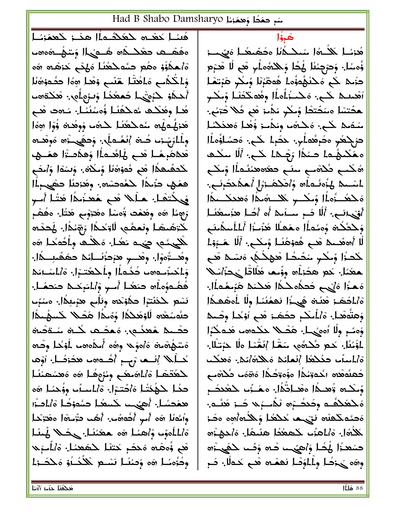## Had B Shabo Damsharyo مَمْ وَهِمْهُوْ بَلِيل Had B Shabo Damsharyo

فُسُل حَقَّ لحَقَقَ عَلَا هَذَا كَعِمْزَنَا هُ/هجُوَّوَ وهُم حسَّوحُعُنُـا وَلِحْم كَـرْهُـ10 وَهُ وَاخُذُبِ مَاهُتْلِ حَنَبٍ وَهَا هِمَٰا حَصَّوْهُ ال أَحْذَٰوْ حُزَى الصَّعُدُ وَبِرُهِ أَهِ. هَكَتَمَت هُـا وِهَكُـْ شَكْفُلًا ؤُهسُلُـاً. سُـْهِتْ هُـع هَٰزِهُـۡعِلۡهِ ۖ شَعَـٰـٰٓهَٰـٰٓ لَـٰهُٮ وَٰوِهُـٰتَهُ ۖ وَٰٓوَا ۚ مِهَا وِلْمَارَهَـٰٓءَٮ ڪُنهَ ٱِلۡھُـۡعَلَٰہِ ۚ وَحِکَمِـٰٓ ٱوَهِ مَوقَعَـٰتِهِ هَدْهَرِهُـا هَــِ هُاهُــهِـاُا وَهِدَٰتِــٰٓ هِمَــٰـنِ هَــٰـهِــ لْكَتَفَـتَعَدُّا هُمْ ثَتَوْهُلًا وُمِكْتُه. وَيَنَتَاهُ وَ*أَمَ*تُم هَمَها حَزَمَاً حَمَّدَتَسِهِ. وِهُزْمَلَا حَقِيجِاًا فَيحْتَفَا. حَالَكَ قَبِ هُعَۃُمَاْ قَتَٰا أُسِرِ رُهِمُا هَه وِهُمْت وُّهِمْا هِهُتِوْبِ هَتُا. هِفُقَمِ لخرْهُىهَـا وِنْعِفَـٰىٰ لَارْكَـٰدُا رَهِّئَمُّا. لَمُحدَّد لْلَّكِيمُهِ تَهْدَا. مَالْتُ وِلْمُصَدَّلَ هُ وِهُـــَّ;َهُوا. وِهْـــــــو همَّحَزُّــَــامُّــ حَصَّصَٰـِـــدًا. وَٰٓائِحِبۡوَ؎ِ۞ حُدَّےۢاْل وِلَمَحِصَّـٰٓءَۚإِ. وَٱلۡمَـٰائِمَا فُهُـدووْهاُ، حَنَفُـا أُسـرِ وْٱلمَرْحَــه حَنَحَفًـا. تَسْعِ لِكَنَّتَهِا حَكَوْنَدَه وِتَلْبِ هَزَمِيكَالِ مَنَّزَم حنَّمنُعْدَه لَاوْهَدْدُا وُمَّدُا هَٰدَىٰلا خَسْهُمْا حصَّىها مُعدَّے ، وَحصَّى لَحْـةِ سَـةَصَّة مَتَّهُاهُمَاهُ ﴾ [وقَّ أَعدُه من أَخْفَرَهُم أَوْخُطْ وِصُّلَا كَــأَلَمْ إِنَّــمَا رَّبِــمِ أَضَّـــهما هَجَرْضًــلِ. أَوْهَا للعُقشا ةالمفعظ ونؤوفا هو مصنعننا حَمًّا ۖ حَجَّحُتُا ۚ هُ ٱحۡتـٰٓمۡا ۖ وَٱلۡمَـٰلَا ۖ وَوَٰحَـٰـٰا ۖ وَٰهِ مَـٰ همَّحسًا. أُهيَّب كَسعُا حسَّوْصًا وَالمَرْزَا وٱنُوۡلَٰا ۞ ٥ أُسٖ أَحُوهُٮ. أَهُٮ حَنَّسَوۡا وَهَٰـٰٓتِكَـٰلَـٰ هْلِمَلْمِنْ وَٱهْلَا هَٰهِ هِعَنُنُا. حِكْمَ لَمِنُنَا مِنْهِمْ لَمِنْنَا الْمَسْرَ هُم وُهِمُه مَحَصٍّ حَتِبْلَ حَهُعِبًا. وَٱلْمَهِدِ وِحُزْهَنَا هَهِ وَمَنُنَا نَسْعِ كَلْخُبُوْ هَكَخَبَا

خبروا هُزَسًا لَكُــهُ| سَىــكَــمُلُا هَجَّمَــهُــا هَيُــــز ؤُوسُا. وَحرْجِسُا هُٰحًا وَ حَادَّوَهَا مِ هَٰجِ لَا هَـْءِم دَمَكَ مَكْنُهُوَوْمَا هُومَّرُنَا وَمِكْرٍ هَءَتَهَا ٱقىدى كَـــى. ەَـكـــزُاْها أَ وِقَعتْدُنَـا وُبـكـر ـمحۡتسۡا منۡحُتحۡا وۡلَـٰا ۖ نَـٰأَـٰٓ، قَدۡ خُلا حَتٰٖتُ. سَٰڡٞٮۿ ڬؠ: هَڪَنُڡ وِمَمَّـۃ وُهُمَّا هَعْدَكْمَا دَمَ جَعُدٍ وَحُوظُومًا بِ. حَجَمٍ لَكَي. وَحَسَّاؤُواً ا معَكْنَهُـها صَنْدًا رَجْـها كَـــى. أَلَّا سَكْـتَ ھُكْىــع تَكْھَىــع مئع حَمَّا مَثْلُــمَاْلِ وَمَكْـع لمسْـــدة لِمُؤْمَلُـــه أَلْمَـــدَمَ أَرْلِ أَـــدَلْمَـدَدَمِنَـــع. ەَحْڪُــزَّەﻠًا وَۡـكَـــوٖ كَكَـــەُمَا ەَھٰدَكَـــمَا أَفِيْ الَّــِ ۚ أَلَٰا ثَـــ مــأمد أَه أَصُـل هزَمـهُنـُـل وَحْثَكُثَ وُهِنُعَاْلِ هَمَعْلَا هَٰذَنُوا ٱلْمَلَسَمَّتَ لًا أَهمَّــد هَــع هُموَهُنُــا وَمكــع. أَلَّا ـهَــزَوْـا َحْجَزًا وَيَحْرِ يَتَصَحُّلُ قَوْلِكُمْ وَيَسْطَ قَبِي هعَمَا. كم هدَٰ: أه وفَها هَلَاتْا كِحزَاسَكَ مَعْزًا وَلَيْ حَحَدُهِ حَدًا هَكْنَهُ هَبْعُمَاً }. هْ/اَحۡصَٰٓ \$شَاهَ هَٰٓ فَيٰۡٓ ۚ أَوۡلَا ۖ أَهۡهُمَا ۖ وَلَا ۖ غَاهَمُ وَلَا ۖ وَلَا ۖ عَلَيۡ وَلَا وَهِتَوْهَا. ۞ ٱلْمَكْمِ حَجَمَةٍ هُمِ ٱوْخُا وِصْحَا وَمَمْ وِلَا أَمْوَىٰ). هَصْلا حَكْمُوما هُدَكُرُا لمَؤْسُلُ، حُـم مَـُحْمَى مَـمْٓا إِنْهُٰنَـا وَلَا حَزَنْـلاً. ة/لمسأم حدُكعُل إلهائك مَكلمُ أَمْكَ مَعكَم كَعِنُوهُدِهِ الْحَوْتُكُمْ وَوُوَكُمُ أَوْوَةً مَعْ الْمُحَمَّى وَعْكِنَ وُهِـٰهُا وَهْـٰاتُمُّا. وَهُــزُبَ كَـْقَدَكَــْمِ هَكْعَكْفُ وحُدَحُــْمِ ۞ لَكُســَمَ ۞ حَــٰز هَدَّــَـهِ. لْحُدُّهُ). 16عُنَى لَحْمِعُدًا هِنَىعًا. 16عَهَ: 6 وەَ كَ زَالْمُ الْمُسْنَةِ مِنْكُمْ وَالْمُسْنَافِسَ مِنْ الْمُسْنَافِسَ مِنْ الْمُسْتَفَاءِ مِنْ

هَجْهُمَا جِرَءَ ٱلْإِيَا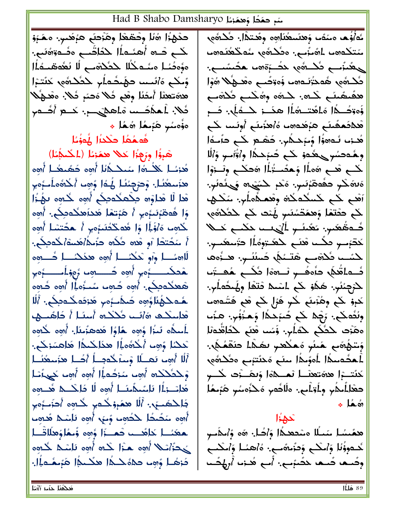## Had B Shabo Damsharyo بَمْ حَمْحًا وَحَمَّرْنَا

حنَّهُۥۢۤا 110 وحُتَّمَعْا ومُزْحَبُ عَرْهُىب. مَعْرُوْ لَكَــع فَـــده أَهنُــداًا للحَاتَــب مفـُـدةشكَــه. دَوْدَسُـل مَـنُـدَكْلا حَـثَـكَـرْهَـــع لَا نُـعَّدَهَــْمَـلَا ا وَمِكُم هَانَسس حهُمصُماُمِ لِكَثْلَوْهِ وَالْمَنْتَمُ ههُتهنا أَمدُل وهي شَلا هُصَرٍ ثَلاً: هَعَهُلاً ئُعْلَ: أَلْمَذَكَـــت مُاهِمْيَـــمِ. كَـــع أَكْـــمْ ەۋەئىر ھَبْعَا ھَمَا ج

فُوهُمَا حَكْدُا هُوؤُمُا هَبِؤُا وِرَهِزًا عَلا همَّنِنَا (الحُمِيَّنَا) هُزَسًا لَمُدُوُّا سَيَكْمُلُا أُوهِ جَعَيْعُكَ أُوهِ هزَمهُمُا. وَحرْجِمُعًا هُـهُ| وَهِم ٱلْحُدَّهَا مَوْمِهِ هَا لَا هَاوُه مِكْعَكُدِكُمْ أُهِهِ كُلُّهِ بِهُـٰٓءَا وَا هُەمْبُسُوم ۚ أَ هَبُتقَا هَدَاهِدُوكِي. أَوه لكَلِّهِ ۖ وَٱوۡ أَوۡلَا ۖ وَا هُدَكَّدُنَـٰٓءَ ۚ وَا لَهُ مَحۡتَسَلَ ۚ أَرَدِهِ اً مَحۡتَحۡا آوٖ قَده تَکُه حَۂۡـداۡاهٗـدهَالَـدُدحِکَمِ. لَاهسُا وَهِ كَكْسًا أُهِهِ هَذَكَسًا صُبِهِهِ لمُعكَنَـــــــزُومٍ أَبُوهِ حَـــــــبُوم زُودَاً ــــــــزُومٍ هَعْكُدْمِكُمْ. أُبْوَهُ شَوْسًا شَيْزَهِ إِلَّا أُبُوهِ شَوْهِ هُـه&هُلْأُوُهِه هُـهُــبُهم هُـْرَضَهُــهُمِـدٌ ٱلْل قَاسِكُـدْ 1⁄2 شَكْلَـا أَسْلَا أَ خَاهُـــي لَمسِمُّه تَسَرُّا وُوهِ هَاوُا هُدَهَنَّكَا. أَوهِ كُلوهِ لَحْمَا وُهِ ۖ أَخْذُهَا لَا مَحَاجَدَا مَاحَسَنِكَى: أَلَّا أَهِبَ تَعْشَالَ وَسَأَنْكُمْهِدَأَ أَهْدَا هَزَسْهُنَا ۖ وَحْدُثَكُنَّهُ أَرْمِدٍ مُنْزَحُمْإِلا أَرْمِهِ أَرْمِدٍ كَبِيدَتْنَا هَاسْـزِدَٰا بَاسُـدُسَــا أُرْمِهِ لَا جَاحْــدْ هُـــرَهِ دَالِحْمَـــَىٰ: ٱلْا همَرْوَلَحْــمِ لِحَــْمِهِ أَحَزَـــرُهرِ أُوهِ مُحَيطًا لِلْحُومِ وَمَنِ أُوهِ تَاسْلًا هُدِهِ لمعْنُسًا خَاهَسَتْ شَمْسَرًا وُوهِ وَيَمُاوُهَااتْسَار حَيْدُ ُسْلًا أُمِهِ مِنْزَا حَدَّهِ أُمِهِ مَاسْطٍ حَدِمِهِ دَٰزِهُما وُرِهِ حَدْهُكُمُ الْمَكْمَةُ الْمُرْسَفَةُ ).

خَهُٰزُها مِنْدًا وَهلَسْعُلَاهِم وِهُـتَدَّالِ تَكْـرُهُم مُتَكْمُهَا لِمُنْزَىنِ. وَثَكْتُونَ مُمَكَّفَتُمُونَ حِمْسَنَاتِ مِنْكُمْ مِنْكُمْ مِنْكُمْ مِنْكُمْ مِنْكُمْ تَكْتُفُوا تُفْعَجْزُنُــٰءَمِن وُّدْوَتُـبِ وَقَدْلُوا مُوْلِ ھىقىئىم كىم. كىئە وئىگىم ئكۋىم ؤُهرَفُــدًا مَاهَّتَـــهُـلًا هكَــز حـــمُلِّدٍ. ضَــر ھَٰٰٓھُمَّکَمِ ھُہُمُّدُوما ہُ/ھُنَّنَے اُوِنَسا لَکے هُـز، نُـ20وَٰا وَمَرْحَــدُمِ. حَـتَعــع كَــع حَلَمــهُا وهُـ2صَبْرِ بِحِثْـ2فِ كَــحِ صَـرَحِـــدُا وِ/وَّاسِرِ وَٱلْل لَّلَــعِ قَعَــمِ الْمَامَلُونَ مُسَنُّمَاً الْمُحَكَّــعِ وِيَــزَوْا ەَتەَكْر ھۇمۇنىر. ەْكر كىنى، مۇمۇب أَهْمِ كُمْ كَسَكْـْمَكْتْهِ وِتْعْمَـثَاهُ/ب. سَكْـكِ َّكُمْ حَفَتَمَا وَهُمَّصَّنِّنَى لَمْتَ كُمْ كَحَكْمُو صَّحَمَهِ. مَعْسُرِ أَلْهَبْ مِنْكُمْ مَحْكَمَ َحْدَ<sub>َ</sub>ٓسِ مَكَّبٍ هُنَّـعٍ ۖ حَمَّـٰٓوَهُ أَلَّا حَزَّسَهُسِيٍّ. لْمُسَتَ شَلَاهُنَّے هُتَنَبُّهُ ضَي*لُائِي. هَـذُ*ّهِمَا ضُـماقُدِّهِ حرْهفُــو نَــــــــهمْ ا تَكُــــع هُـفــــَوْت ِحْرَجِنُنُو. هَٰٰٰهُوَ ۖ ـُحِي ۖ ـاسْـِـهِ دَتَـٰهَا وِلَمَــدَّدَاٰبِ. كَبِرَةِ لَكَمْ وِهُزْمَتِي لَكُمْ فَوْلِ كُلِّي هُمْ فَشُمْهَمْا وِنُثَمِكَ }. رُجْمَ كُمْ ضَبَحْدًا وَحَزَوْبٍ. هنَّت ەمْبْت خْتْنَجْ خْمَلُى. وَّسَّ قْتَحْ خْتَاشْدْنَا وَسَوُّهَ مَاسُ مَعْكَفٍ بَعَكُمْ حَنَقْفُ). ـلْـمحْـٰدَمِـدْا مْدَمْا مِنْـنْمْ مَحْتَتِہِــم دَكْتَوْب حَنَتـــمْ| هرەَتعلىا لَعـــــــاهْ| وَيصَـــوْت لَحْــــو حعْلِلُـدُمِ وِلَمْوَلَى وَلَاحُمِ مَكْرَمِنُو هَٰئِمَارَ  $\bullet$   $\mathop{\text{L}}\nolimits^{\circ}$ تحهزًا

ھمُسُل مُسأَّا مشتعثاً وَٱصَلَ ۞ وَٱلتَّاسِ نُفْعِدُوْنُا وَٱسْكَنِّ وَفَزْنَتْهَنِي. ةَاهْشَا وَٱسْكَنِّي وِتَسما تَسما لِتَصَرَّب، أَبِ هُـٰٓءَا أَرْلَمْتَ

مَحْدُبًا حَرَّبِ ٱلْإِيَّا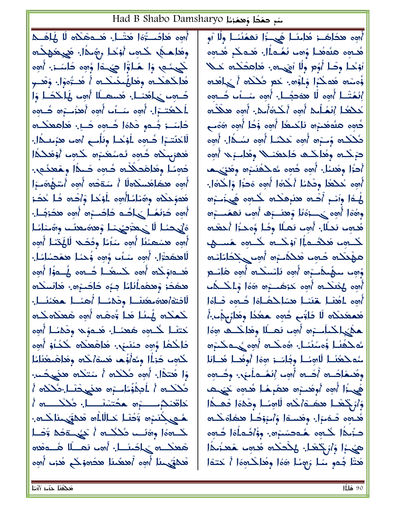Had B Shabo Damsharyo ļ ;<br>4  $\overline{\phantom{a}}$ 

أَوه هَامُسْتُهَا هَتْسَا. هُــمَهْكُم لَا هَاهَــِهَ í  $\overline{\phantom{a}}$ H ۔<br>ذ  $\frac{1}{2}$  $\overline{\phantom{a}}$  $\overline{\mathbf{z}}$ مِ مَا عَمَلِهِ جَمَادِ اللّٰہِ مِنْ اللّٰہِ مِنْ اللّٰہِ مِنْ الْمَالِيَةِ مِنْ الْمَالِيةِ مِنْ الْمَالِيةِ م<br>مِحْلِمِيْكِ حَمَلِهِ أَوْحُلُ رَبَّهُ مِثْلُ فَي عَمْهَكُمْ ć  $\frac{1}{2}$  $\frac{1}{2}$ لَّـــهُمْ وَا هُـَاةًۭا ضَــةَا وَّوهِ حَاسَـةٍ. أَوهِ <  $\frac{1}{2}$  $\frac{1}{2}$ , H هُالْكُفْخُذُ وِهَالْمُنْكُذُ أَ هُـتُوَوْلُ وَهْـبَ ,<br>3  $\ddot{\bullet}$  $\ddot{\mathbf{z}}$ ر<br>م ة<br>م  $\frac{1}{2}$ ,<br>י د موسى السلام السلام المستقام المستقام المستقام المستقام المستقام المستقام المستقام المستقام المستقا<br>وفي المستقام المستقام المستقام المستقام المستقام المستقام المستقام المستقام المستقام المستقام المستقام المستقا  $\frac{1}{2}$ .<br>ژ  $\frac{1}{2}$  $\frac{1}{2}$  $\frac{1}{2}$  $\frac{1}{2}$ كون المسترد العاملين المستقرح المستقرح المستقرح المستقرات المستقرات المستقرة المستقرح المستقرح المستقرح المستق<br>المستقرح المستقرح المستقرح المستقرح المستقرح المستقرح المستقرح المستقرح المستقرح المستقرح المستقرح المستقرح ال  $\frac{1}{2}$  $\sim$  $\ddot{\bullet}$ ۔<br>ڑ  $\overline{\mathbf{z}}$  $\overline{\mathbf{z}}$ H كَاسَة فُسَعٍ ثَمْهَا شَبْهِهِ ضَلِ. هَامَعْنَدُهِ ا , ļ  $\frac{1}{2}$  $\frac{1}{2}$  $\frac{1}{2}$  $\ddot{\phantom{0}}$  $\overline{\phantom{a}}$ لَّاحَتَتَـٰٓءَا كَـٰهِهِ ۖ لَٰٓ فَخُـا ۖ وَنَأَىبِ }هب هرَمنـدًا. ر<br>لا  $\mathbf{i}$  $\frac{1}{2}$  $\sim$ H د<br>ل í مُعرِّضِكُمْ خُصِّ نُمسُعُبْرُه كُصِّ أُوْهَٰكُمُّ ا  $\frac{1}{2}$  $\frac{1}{2}$  $\frac{1}{2}$  $\frac{1}{2}$  $\sim$ .<br>د  $\frac{1}{2}$  @R>)) :B,? #4)) 2D)) D)) , 1% )) D[  $\bullet$  $\frac{1}{2}$  $\bullet$  $\overline{\phantom{a}}$ H i vo and in the internet in the internet )<br>A ۯ ۔<br>رو , í ر<br>ژ ا<br>دوم هَدَدَو دَكْرُه وَهُنَاسًاأُهِم لِمَوْحُنَا وَإِنْشَه صَلَّ حُضَمَ  $\overline{\phantom{a}}$ í ,<br>י  $\overline{\mathbf{i}}$ .<br>د ک ,  $\zeta$ ، أموه ما المستقام المستقام المستقام المستقام المستقام المستقام المستقام المستقام المستقام المستقام المستقام ا<br>أموه مستقام المستقام المستقام المستقام المستقام المستقام المستقام المستقام المستقام المستقام المستقام المستقام  $\overline{\phantom{a}}$ < .<br>■  $\sim$ í ֡֡֘<br>֧֢׆֧  $\overline{\phantom{a}}$ ر<br>وف أَسْمَدُ اللَّهُ مَسْمَعَهُمْ أَسْتَخْرَجَتُهُ مِنْ الْمُعْرَبِّهِ مَسْتَخْرَجَةً ر<br>ر , , í أوه مستعينًا أوه سَامًا وحُصِّم لَالْمَتْدَا أوه  $\tilde{\mathbf{z}}$ .<br>.<br>. í  $\frac{1}{2}$ é<br>1 <  $\overline{\phantom{a}}$ ۔<br>رو  $\frac{1}{2}$ لْلْعَمَعْدَ ۚا ۚ أَرْمِهِ ۚ مَـٰلَا ۚ وَمِهِ ۚ وَمَحْـَا هِمَصْائِـلَ ۚ إِ  $\frac{1}{2}$  $\frac{1}{1}$ < ۔<br>اُ  $\overline{\phantom{a}}$ مستعمل مستعمل مستقبل من المستقبل.<br>تحسار الله على الله على الله على الله على الله أبوه من الله على الله على الله على الله على الله على الله على ا .<br>وفي  $\frac{1}{2}$  $\epsilon$ منفَهُ: وَمَعَمَلُنُا بَنُ جَاجَدَ وَمَنْ الْمَسْلَامِ الْمَسْلَم ,  $\overline{\phantom{a}}$  $\overline{\phantom{a}}$ í  $\overline{\phantom{a}}$ لَاحۡتَهُ/هِمۡمَعۡنَـٰـَـا وَحۡدَـٰـا ٱهنـٰـا ـَعۡعَنۡنَـٰـا وَ  $\overline{\phantom{a}}$ ؘ H  $\overline{\phantom{a}}$ í لَّـمَـلَاه لَمِنْـل هَـلُّ وَّوَهُـه أُهِه هَعَلَاه لِـُـه الْمَسْمَعَة وَ اللّ <  $\ddot{\bullet}$  $\frac{1}{2}$ كتنا كُلوه هَعنا. هُلُوَيْهِ وِثْمَنَا أُوهِ < ć  $\frac{1}{2}$ H  $\overline{\phantom{a}}$ طَاحُهُا وُوِهَ مِنْتَبَى. فَاهْعَنْدُه خُدُبُو أُوهَ  $\ddot{\phantom{0}}$ .<br>رو<br>(  $\frac{1}{2}$  $\overline{1}$ لكَرْمِت خَذْلًا وِحُهُوَٰهَا هَيْدَهُ كَلَامَ وِهَاهُنفَتُلَظُ  $\mathbf{r}$  $\epsilon$  $\frac{1}{2}$ ۯ  $\bar{\hat{\mathbf{i}}}$ وَا هَتهْا. أُوه مَكْكُده أَ سَتكُده مَكَيحَب.  $\frac{1}{2}$  $\ddot{\phantom{0}}$ , H , ڑ .<br>رو<br>ا  $\mathbf{r}$ .<br>ڑ ر<br>مَكْكُد أَمْ أَحِدُّوُ السيْره مَحْيَى مَسْا حَكْكُده أَ <u>,</u>  $\ddot{\phantom{0}}$  $\frac{1}{2}$ ۔<br>أ .<br>ڑ  $\delta$  كاقتنم ســــــرْ، هَـتَتَشَـــــــــــــــــره  $\delta$ H  $\frac{1}{2}$ ر<br>و H أَمْسَ وَأَحَدُ الْمَالَمَ هُمْ فَكُلَّهَا الْمَسْتَمْرِينَ وَأَمْرَ بِهِ وَأَمْرَ بِهِ مَنْ الْمَسْتَمْرَ وَج  $\frac{1}{2}$ ۔<br>أ ŕ  $\frac{1}{2}$  $\frac{1}{2}$  $\overline{1}$ to the كْتُوهُمْ وَهُنَّسَا مُحْكُدُهِ أَكْهُدْ هَكُمْ وَّصْلاً  $\frac{1}{2}$ H , ؘ هه هند بن أبد أن أبد من من من الله من الله من الله من الله من الله من الله من الله من الله من الله من .<br>በ  $\alpha$ í ۯ  $\overline{\phantom{a}}$ , هَدُفَهَما أُوه أههُما هدُهوَ كَم هُزم أُوه ۔<br>رو ۔<br>ر **New York**  $\frac{1}{2}$ 

أُوه هَخَاهُــز هُامنَــا فَهِــزُا نَعْمُنُــا وِلَا أَوِ =<br>ו Í ا<br>ر ا<br>الم -<br>°  $\overline{\mathbf{E}}$  $\frac{1}{2}$  $\frac{3}{2}$ شُـوه هنُممُـا وُوب نُمُـماُا. هَـمكَم هُـوه ≽<br>ال  $\frac{1}{2}$ **Color** .<br>€  $\overline{\mathbf{I}}$ رُ أَوْخُطَ وِصْلَ أُوُمْ وِلَٰلا أَيْحَامَهِ، هَامَشْكُلُّهُ حَبَلًا ۖ , .<br>ا  $\mathbf{i}$  ۯ j وَوَمِنُوهِ مَعْدَكُمُ! وَلَمْؤَوى: خَعْرِ مَكْكُوهِ أَكْلِهُم ,<br>3 ۯ  $\frac{1}{2}$  $\sim$ إِنَّهُنْـَـا أُوهِ لَٰا هِدَحَجُــا. أُوهِ مَـٰـأَبٍ فُــوهِ  $\frac{1}{2}$  $\sim$  $\frac{1}{1}$ .<br>د هغه è  $\frac{1}{2}$ ۔<br>رو H رُ  $\frac{1}{2}$ بَعْلَاهُمْ إِنْهُ أَبِمَا أَوَهِ أَكْثَةُ أَبِي أَوَهِ هِلْكُو  $\overline{\mathbf{z}}$ ڒ  $\overline{\mathbf{z}}$ دُوهِ هَدُهُمْـدْوهِ تَلكُـدهُا أُوهِ وَٰدًا أُوهِ وَهُمْـح  $\frac{1}{2}$ .<br>وفيات ć .<br>الأ∂  $\frac{1}{2}$ **،**<br>و -<br>د ه صَلَاته وُسِبْه أُهِه تَحْسُلَ أُهِه سُــكُا. أُهِه ۔<br>رو ر<br>دون <  $\frac{3}{2}$ , دَكِره ومُاكِكَ كَاحْفَتْكَ ومُحَاسَدِينَ أَوهِ .<br>رو<br>( أَحِزًا وِهَننًا. أَوه خَوِه عَمِيحَفَنَهِ وَهَيَهَا í  $\overline{1}$ ֦֧֦  $\bullet$ < í  $\frac{1}{2}$ ر<br>ز أَوه خُلْطُ وَحَمَلَ أَبَكْهُ أَوْهِ هَدَا وَالْحَمَا. .<br>رو<br>ا  $\frac{1}{2}$  $\frac{1}{2}$ ζ لَٰهَا وَٱسۡمِ ٱهۡـُـهِ هَنۡوَهَـٰهِ ۚ خَـٰهِهِ فَيۡءَٰــٰٓءٖه  $\frac{1}{2}$ ó  $\frac{1}{2}$  $, \, \cdot$ <u>,</u>  $\frac{1}{1}$  $\frac{1}{1}$ بەلگە وهوا أوهو كمستوها ومنسوها أوما تعميسوها  $\leq$ ۯ  $\frac{1}{2}$ ر<br>ر ś ر<br>هُدوب نَحبَّلاً. أَوْبِ نَعبَلاً وَضَلَ وَمَحَوَّل أَحقَده  $\frac{1}{2}$ í ۯ  $\frac{1}{2}$  $\frac{1}{2}$ كُنُومَ هَكْشُواً أَوْكُنُوا كُنُوهِ هَسْنَهَا  $\frac{1}{2}$  $\overline{\mathbf{B}}$  $\frac{1}{2}$ مهْدَده حُجِب مُعِلَّكُمْ-ُمَّة أَهِبَ كَلِكَمَاسُهِ مَ ۯ  $\lambda$  $\frac{1}{2}$  $\frac{1}{2}$ .<br>د ن<br>وُهِ سَمْعَةٌ وَهُ أَهِ مَا السَّلَامِ أَهِ مَاسْعِ ا<br>الموارد  $\overline{\mathbf{z}}$  $\frac{1}{2}$  $\frac{3}{2}$ أَبَّهِمْ لِكَنْكُسُ أَبْهِهِ كَاهُمْتُوهِ هَٰهَ إِجْلَنْكُمْتُ  $\lambda$ بر<br>د<br>( **N<br>()** .<br>وفي أَبَوَهِ لِمُعْسَلِ هَنَسًا هَنَا حَكْمَاهَ احْسَوه صَاهَ ا ś  $\frac{1}{2}$  $\frac{1}{2}$  $\frac{1}{2}$  $\frac{1}{2}$ ر<br>ر ثَعْمَعُدَدُهِ لَا مَارَّبٍ خَصِ حَفْدًا وِمَارَجِدًا ۚ.  $\bullet$  $\frac{1}{2}$ í ć هكهاكباً من الله عنه المستقبل المستقبل المستقبل í ゝ゚ í  $\lambda$ مُوَكُفِيًا وُوسُنُيًا. هُوكُده أُبُوهِ كَمِيَوْمِ ا<br>ر<br>ر رُ  $\sim$ ن<br>وگ مُهكعُنُــا لَاهِنــا وِمُاسَــز هِمَا أُوهُــا هَــالَا ۯ  $\overline{\phantom{a}}$  $\overline{\phantom{a}}$ í وهَبْمَاضُبْهِ أَضَبْهِ أَهْبَ إِنْمُتْمَلَّيْنِ. وِضْبَهِه د<br>د .<br>?  $\frac{3}{2}$  $\frac{1}{2}$  $\frac{1}{2}$ í j فَيْ أَنْ أَوَهِ أُوهَنْهُ مَعْظَمَهُا هُدُوهِ كَيْكُمْ  $\frac{1}{2}$ **Color** ć ڑ < '<br>ہ وَارَخْصْداً محصَّدْ، ذَهِ لَاهِنْداً وِحْمَهَا قَصْدًا í : U<br>هُـروه صْـَمْعَ|. وِهُـسـة| وُٱبـرَوْهُــا ههَاهَـلْــه  $\epsilon$ è ,<br>ر  $\frac{1}{2}$ **A** a **4** دَعَمَا كُلُوهِ هُـُوصَيْبِرُهِ. وِوَاصُواهَ الصَّوهِ  $\frac{1}{2}$  $\sim$  $\overline{\mathbf{j}}$  $\frac{1}{2}$  $\frac{3}{2}$ هي.<br>وارتك المنتقل المحمد من المستقط المستقد  $\frac{1}{2}$  $\frac{1}{2}$  $\frac{1}{2}$ ,<br>י ى من من الله من الله و مع الله عنه الله من الله عنها الله عنها من الله عنها الله عنها الله عنها الله<br>كان الله عنهم من الله عنه الله عنه الله عنه الله عنه الله عنه الله عنه الله عنه الله عنه الله عنه الله عنه الل **b** ox H ֝֝֝֝֝<br>׆ <u>,</u> ڑ  $\frac{1}{2}$ 

<mark>بَا جِنْبَ آ $\overline{\mathcal{C}}$ اُمَا</mark>  $\overline{\phantom{a}}$  $\frac{1}{2}$  $\overline{\phantom{a}}$ ;<br>0  $\Delta\Delta\phi$